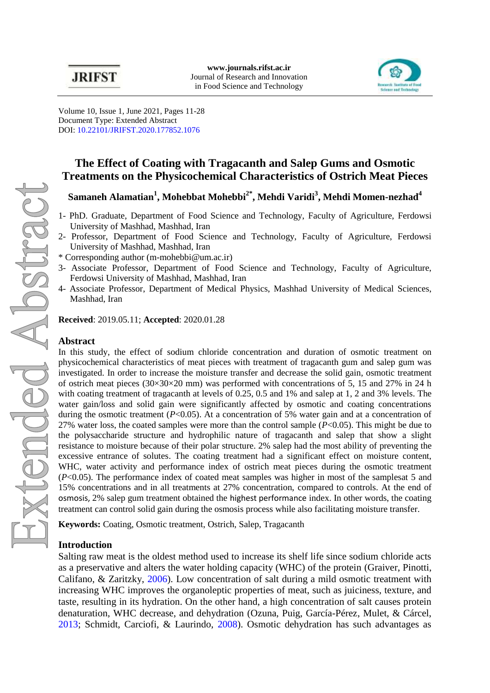

Volume 10, Issue 1, June 2021, Pages 11-28 Document Type: Extended Abstract DOI: [10.22101/JRIFST.2020.177852.1076](https://dx.doi.org/10.22101/jrifst.2020.177852.1076)

# **The Effect of Coating with Tragacanth and Salep Gums and Osmotic Treatments on the Physicochemical Characteristics of Ostrich Meat Pieces**

## **Samaneh Alamatian<sup>1</sup> , Mohebbat Mohebbi2\*, Mehdi Varidi<sup>3</sup> , Mehdi Momen-nezhad<sup>4</sup>**

- 1- PhD. Graduate, Department of Food Science and Technology, Faculty of Agriculture, Ferdowsi University of Mashhad, Mashhad, Iran
- 2- Professor, Department of Food Science and Technology, Faculty of Agriculture, Ferdowsi University of Mashhad, Mashhad, Iran
- \* Corresponding author [\(m-mohebbi@um.ac.ir\)](mailto:m-mohebbi@um.ac.ir)
- 3- Associate Professor, Department of Food Science and Technology, Faculty of Agriculture, Ferdowsi University of Mashhad, Mashhad, Iran
- 4- Associate Professor, Department of Medical Physics, Mashhad University of Medical Sciences, Mashhad, Iran

**Received**: 2019.05.11; **Accepted**: 2020.01.28

#### **Abstract**

In this study, the effect of sodium chloride concentration and duration of osmotic treatment on physicochemical characteristics of meat pieces with treatment of tragacanth gum and salep gum was investigated. In order to increase the moisture transfer and decrease the solid gain, osmotic treatment of ostrich meat pieces  $(30\times30\times20$  mm) was performed with concentrations of 5, 15 and 27% in 24 h with coating treatment of tragacanth at levels of 0.25, 0.5 and 1% and salep at 1, 2 and 3% levels. The water gain/loss and solid gain were significantly affected by osmotic and coating concentrations during the osmotic treatment  $(P<0.05)$ . At a concentration of 5% water gain and at a concentration of 27% water loss, the coated samples were more than the control sample (*P*<0.05). This might be due to the polysaccharide structure and hydrophilic nature of tragacanth and salep that show a slight resistance to moisture because of their polar structure. 2% salep had the most ability of preventing the excessive entrance of solutes. The coating treatment had a significant effect on moisture content, WHC, water activity and performance index of ostrich meat pieces during the osmotic treatment (*P*<0.05). The performance index of coated meat samples was higher in most of the samplesat 5 and 15% concentrations and in all treatments at 27% concentration, compared to controls. At the end of osmosis, 2% salep gum treatment obtained the highest performance index. In other words, the coating treatment can control solid gain during the osmosis process while also facilitating moisture transfer.

**Keywords:** Coating, Osmotic treatment, Ostrich, Salep, Tragacanth

### **Introduction**

Salting raw meat is the oldest method used to increase its shelf life since sodium chloride acts as a preservative and alters the water holding capacity (WHC) of the protein [\(Graiver, Pinotti,](#page-3-0)  [Califano, & Zaritzky, 2006\)](#page-3-0). Low concentration of salt during a mild osmotic treatment with increasing WHC improves the organoleptic properties of meat, such as juiciness, texture, and taste, resulting in its hydration. On the other hand, a high concentration of salt causes protein denaturation, WHC decrease, and dehydration [\(Ozuna, Puig, García-Pérez, Mulet, & Cárcel,](#page-4-0)  [2013;](#page-4-0) [Schmidt, Carciofi, & Laurindo, 2008\)](#page-4-1). Osmotic dehydration has such advantages as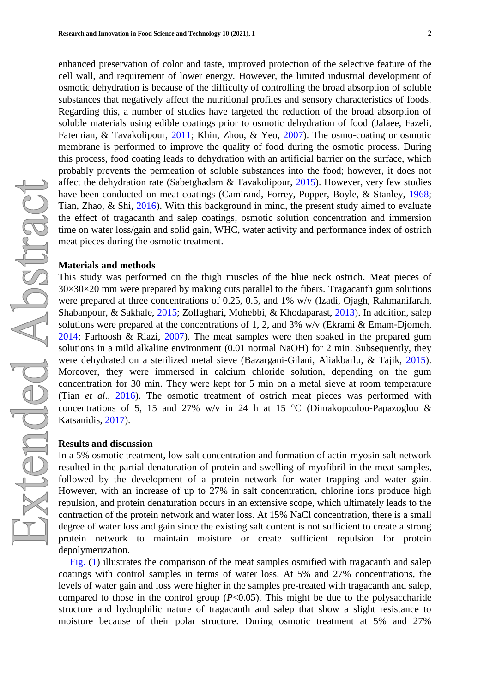enhanced preservation of color and taste, improved protection of the selective feature of the cell wall, and requirement of lower energy. However, the limited industrial development of osmotic dehydration is because of the difficulty of controlling the broad absorption of soluble substances that negatively affect the nutritional profiles and sensory characteristics of foods. Regarding this, a number of studies have targeted the reduction of the broad absorption of soluble materials using edible coatings prior to osmotic dehydration of food [\(Jalaee, Fazeli,](#page-4-2)  [Fatemian, & Tavakolipour, 2011;](#page-4-2) [Khin, Zhou, & Yeo, 2007\)](#page-4-3). The osmo-coating or osmotic membrane is performed to improve the quality of food during the osmotic process. During this process, food coating leads to dehydration with an artificial barrier on the surface, which probably prevents the permeation of soluble substances into the food; however, it does not affect the dehydration rate [\(Sabetghadam & Tavakolipour, 2015\)](#page-4-4). However, very few studies have been conducted on meat coatings [\(Camirand, Forrey, Popper, Boyle, & Stanley, 1968;](#page-3-1) [Tian, Zhao, & Shi, 2016\)](#page-4-5). With this background in mind, the present study aimed to evaluate the effect of tragacanth and salep coatings, osmotic solution concentration and immersion time on water loss/gain and solid gain, WHC, water activity and performance index of ostrich meat pieces during the osmotic treatment.

#### **Materials and methods**

This study was performed on the thigh muscles of the blue neck ostrich. Meat pieces of  $30\times30\times20$  mm were prepared by making cuts parallel to the fibers. Tragacanth gum solutions were prepared at three concentrations of 0.25, 0.5, and 1% w/v (Izadi, Ojagh, Rahmanifarah, [Shabanpour, &](#page-4-6) Sakhale, 2015; [Zolfaghari, Mohebbi, & Khodaparast, 2013\)](#page-4-7). In addition, salep solutions were prepared at the concentrations of 1, 2, and 3%  $w/v$  [\(Ekrami & Emam](#page-3-2)-Djomeh, [2014;](#page-3-2) [Farhoosh & Riazi, 2007\)](#page-3-3). The meat samples were then soaked in the prepared gum solutions in a mild alkaline environment (0.01 normal NaOH) for 2 min. Subsequently, they were dehydrated on a sterilized metal sieve [\(Bazargani-Gilani, Aliakbarlu, & Tajik, 2015\)](#page-3-4). Moreover, they were immersed in calcium chloride solution, depending on the gum concentration for 30 min. They were kept for 5 min on a metal sieve at room temperature (Tian *et al*[., 2016\)](#page-4-5). The osmotic treatment of ostrich meat pieces was performed with concentrations of 5, 15 and 27% w/v in 24 h at 15 °C (Dimakopoulou-Papazoglou & [Katsanidis, 2017\)](#page-3-5).

#### **Results and discussion**

In a 5% osmotic treatment, low salt concentration and formation of actin-myosin-salt network resulted in the partial denaturation of protein and swelling of myofibril in the meat samples, followed by the development of a protein network for water trapping and water gain. However, with an increase of up to 27% in salt concentration, chlorine ions produce high repulsion, and protein denaturation occurs in an extensive scope, which ultimately leads to the contraction of the protein network and water loss. At 15% NaCl concentration, there is a small degree of water loss and gain since the existing salt content is not sufficient to create a strong protein network to maintain moisture or create sufficient repulsion for protein depolymerization.

[Fig. \(1\)](#page-2-0) illustrates the comparison of the meat samples osmified with tragacanth and salep coatings with control samples in terms of water loss. At 5% and 27% concentrations, the levels of water gain and loss were higher in the samples pre-treated with tragacanth and salep, compared to those in the control group  $(P<0.05)$ . This might be due to the polysaccharide structure and hydrophilic nature of tragacanth and salep that show a slight resistance to moisture because of their polar structure. During osmotic treatment at 5% and 27%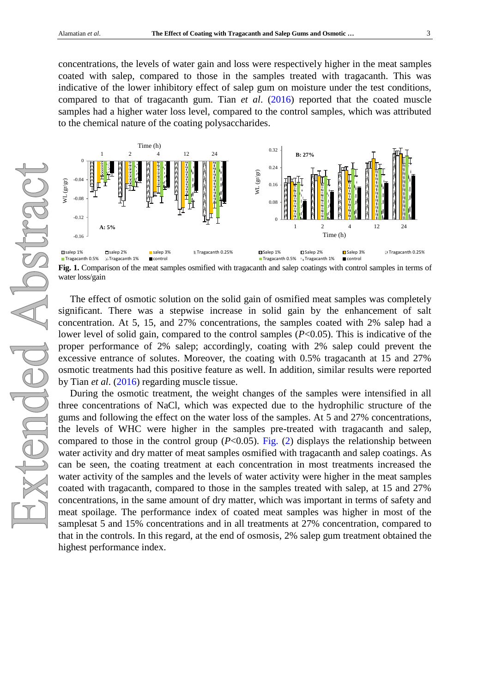concentrations, the levels of water gain and loss were respectively higher in the meat samples coated with salep, compared to those in the samples treated with tragacanth. This was indicative of the lower inhibitory effect of salep gum on moisture under the test conditions, compared to that of tragacanth gum. Tian *et al*. [\(2016\)](#page-4-5) reported that the coated muscle samples had a higher water loss level, compared to the control samples, which was attributed to the chemical nature of the coating polysaccharides.

<span id="page-2-0"></span>

**Fig. 1.** Comparison of the meat samples osmified with tragacanth and salep coatings with control samples in terms of water loss/gain

The effect of osmotic solution on the solid gain of osmified meat samples was completely significant. There was a stepwise increase in solid gain by the enhancement of salt concentration. At 5, 15, and 27% concentrations, the samples coated with 2% salep had a lower level of solid gain, compared to the control samples (*P*<0.05). This is indicative of the proper performance of 2% salep; accordingly, coating with 2% salep could prevent the excessive entrance of solutes. Moreover, the coating with 0.5% tragacanth at 15 and 27% osmotic treatments had this positive feature as well. In addition, similar results were reported by Tian *et al*. [\(2016\)](#page-4-5) regarding muscle tissue.

During the osmotic treatment, the weight changes of the samples were intensified in all three concentrations of NaCl, which was expected due to the hydrophilic structure of the gums and following the effect on the water loss of the samples. At 5 and 27% concentrations, the levels of WHC were higher in the samples pre-treated with tragacanth and salep, compared to those in the control group  $(P<0.05)$ . [Fig. \(2\)](#page-3-6) displays the relationship between water activity and dry matter of meat samples osmified with tragacanth and salep coatings. As can be seen, the coating treatment at each concentration in most treatments increased the water activity of the samples and the levels of water activity were higher in the meat samples coated with tragacanth, compared to those in the samples treated with salep, at 15 and 27% concentrations, in the same amount of dry matter, which was important in terms of safety and meat spoilage. The performance index of coated meat samples was higher in most of the samplesat 5 and 15% concentrations and in all treatments at 27% concentration, compared to that in the controls. In this regard, at the end of osmosis, 2% salep gum treatment obtained the highest performance index.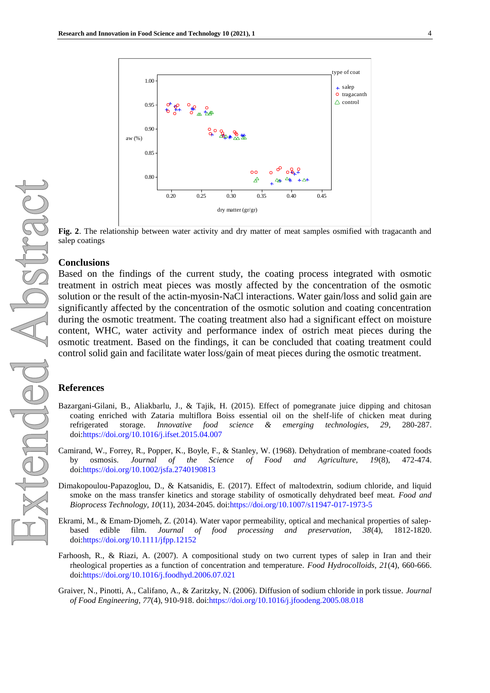<span id="page-3-6"></span>

**Fig. 2.** The relationship between water activity and dry matter of meat samples osmified with tragacanth and salep coatings

#### **Conclusions**

Based on the findings of the current study, the coating process integrated with osmotic treatment in ostrich meat pieces was mostly affected by the concentration of the osmotic solution or the result of the actin-myosin-NaCl interactions. Water gain/loss and solid gain are significantly affected by the concentration of the osmotic solution and coating concentration during the osmotic treatment. The coating treatment also had a significant effect on moisture content, WHC, water activity and performance index of ostrich meat pieces during the osmotic treatment. Based on the findings, it can be concluded that coating treatment could control solid gain and facilitate water loss/gain of meat pieces during the osmotic treatment.

#### **References**

- <span id="page-3-4"></span>Bazargani-Gilani, B., Aliakbarlu, J., & Tajik, H. (2015). Effect of pomegranate juice dipping and chitosan coating enriched with Zataria multiflora Boiss essential oil on the shelf-life of chicken meat during refrigerated storage. *Innovative food science & emerging technologies, 29*, 280-287. doi[:https://doi.org/10.1016/j.ifset.2015.04.007](https://doi.org/10.1016/j.ifset.2015.04.007)
- <span id="page-3-1"></span>Camirand, W., Forrey, R., Popper, K., Boyle, F., & Stanley, W. (1968). Dehydration of membrane‐coated foods by osmosis. *Journal of the Science of Food and Agriculture, 19*(8), 472-474. doi[:https://doi.org/10.1002/jsfa.2740190813](https://doi.org/10.1002/jsfa.2740190813)
- <span id="page-3-5"></span>Dimakopoulou-Papazoglou, D., & Katsanidis, E. (2017). Effect of maltodextrin, sodium chloride, and liquid smoke on the mass transfer kinetics and storage stability of osmotically dehydrated beef meat. *Food and Bioprocess Technology, 10*(11), 2034-2045. doi[:https://doi.org/10.1007/s11947-017-1973-5](https://doi.org/10.1007/s11947-017-1973-5)
- <span id="page-3-2"></span>Ekrami, M., & Emam‐Djomeh, Z. (2014). Water vapor permeability, optical and mechanical properties of salep‐ based edible film. *Journal of food processing and preservation, 38*(4), 1812-1820. doi[:https://doi.org/10.1111/jfpp.12152](https://doi.org/10.1111/jfpp.12152)
- <span id="page-3-3"></span>Farhoosh, R., & Riazi, A. (2007). A compositional study on two current types of salep in Iran and their rheological properties as a function of concentration and temperature. *Food Hydrocolloids, 21*(4), 660-666. doi[:https://doi.org/10.1016/j.foodhyd.2006.07.021](https://doi.org/10.1016/j.foodhyd.2006.07.021)
- <span id="page-3-0"></span>Graiver, N., Pinotti, A., Califano, A., & Zaritzky, N. (2006). Diffusion of sodium chloride in pork tissue. *Journal of Food Engineering, 77*(4), 910-918. doi[:https://doi.org/10.1016/j.jfoodeng.2005.08.018](https://doi.org/10.1016/j.jfoodeng.2005.08.018)